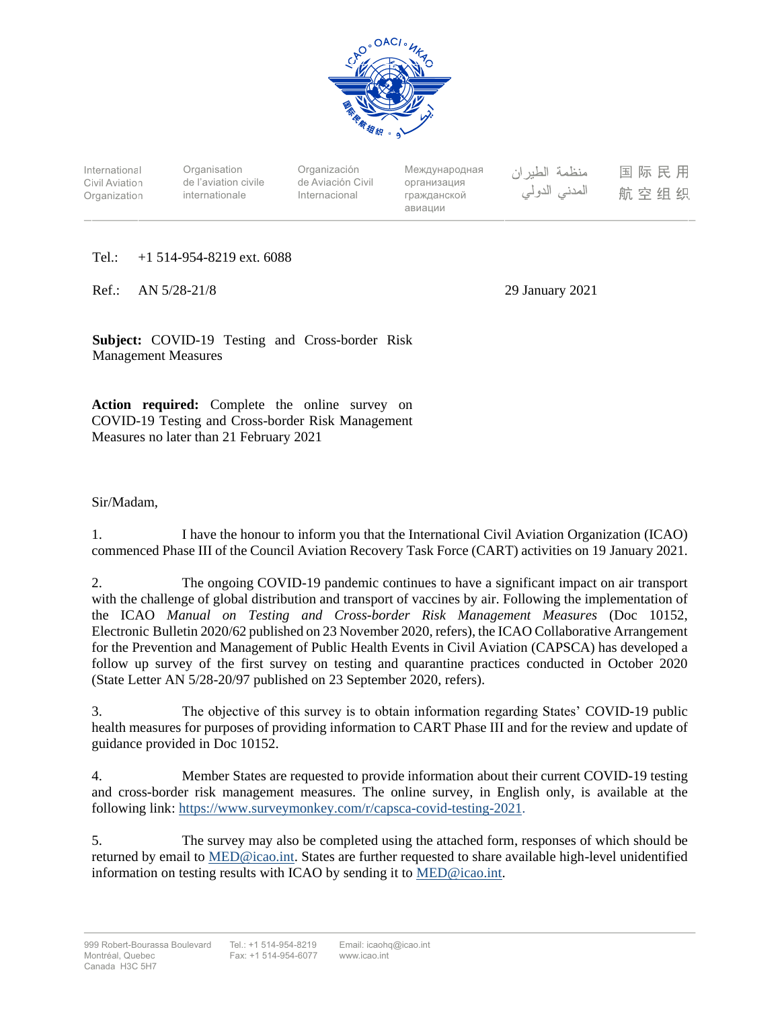

International Civil Aviation **Organization** 

**Organisation** de l'aviation civile internationale

Organización de Aviación Civil Internacional

Международная организация гражданской авиации

منظمة الطيران المدنى الدولى 国际民用 航空组织

Tel.: +1 514-954-8219 ext. 6088

Ref.: AN 5/28-21/8 29 January 2021

**Subject:** COVID-19 Testing and Cross-border Risk Management Measures

**Action required:** Complete the online survey on COVID-19 Testing and Cross-border Risk Management Measures no later than 21 February 2021

# Sir/Madam,

1. I have the honour to inform you that the International Civil Aviation Organization (ICAO) commenced Phase III of the Council Aviation Recovery Task Force (CART) activities on 19 January 2021.

2. The ongoing COVID-19 pandemic continues to have a significant impact on air transport with the challenge of global distribution and transport of vaccines by air. Following the implementation of the ICAO *Manual on Testing and Cross-border Risk Management Measures* (Doc 10152, Electronic Bulletin 2020/62 published on 23 November 2020, refers), the ICAO Collaborative Arrangement for the Prevention and Management of Public Health Events in Civil Aviation (CAPSCA) has developed a follow up survey of the first survey on testing and quarantine practices conducted in October 2020 (State Letter AN 5/28-20/97 published on 23 September 2020, refers).

3. The objective of this survey is to obtain information regarding States' COVID-19 public health measures for purposes of providing information to CART Phase III and for the review and update of guidance provided in Doc 10152.

4. Member States are requested to provide information about their current COVID-19 testing and cross-border risk management measures. The online survey, in English only, is available at the following link: [https://www.surveymonkey.com/r/capsca-covid-testing-2021.](https://www.surveymonkey.com/r/capsca-covid-testing-2021)

5. The survey may also be completed using the attached form, responses of which should be returned by email to [MED@icao.int.](mailto:MED@icao.int) States are further requested to share available high-level unidentified information on testing results with ICAO by sending it to [MED@icao.int.](mailto:MED@icao.int)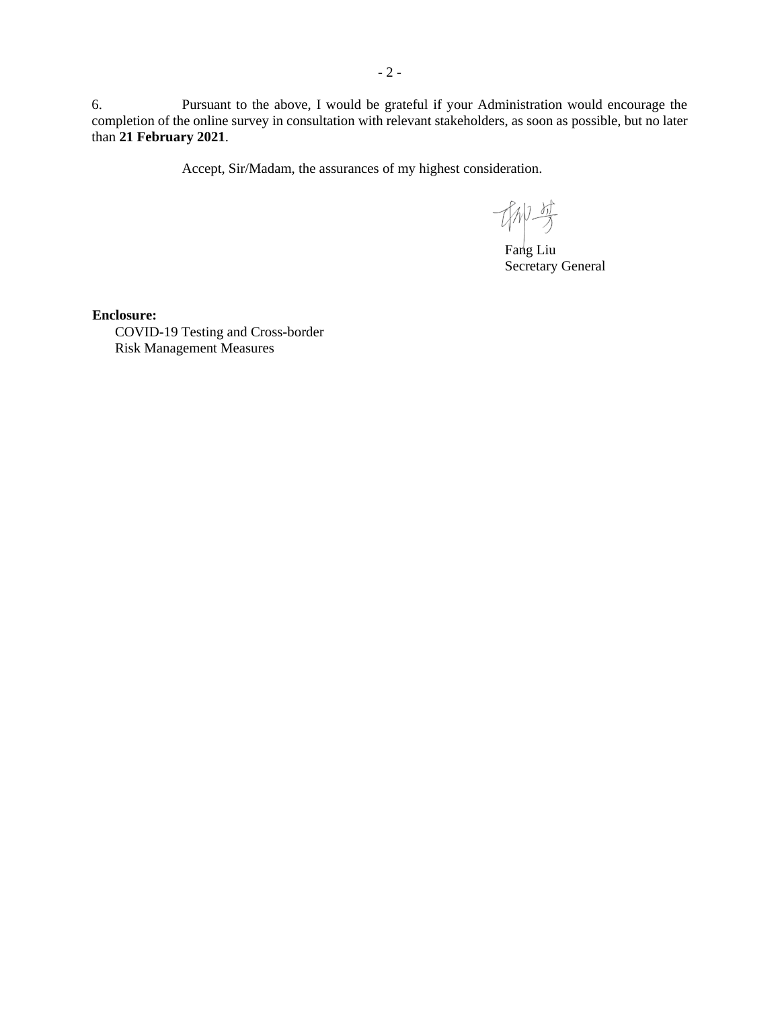6. Pursuant to the above, I would be grateful if your Administration would encourage the completion of the online survey in consultation with relevant stakeholders, as soon as possible, but no later than **21 February 2021**.

Accept, Sir/Madam, the assurances of my highest consideration.

协变

Fang Liu Secretary General

**Enclosure:**

COVID-19 Testing and Cross-border Risk Management Measures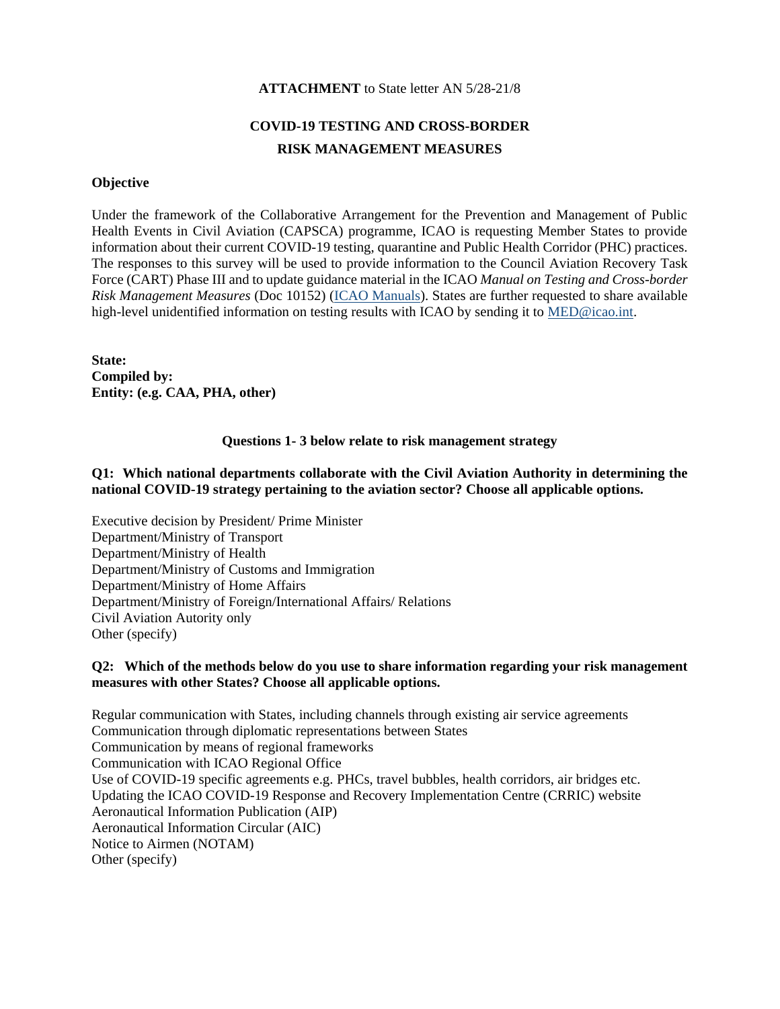#### **ATTACHMENT** to State letter AN 5/28-21/8

# **COVID-19 TESTING AND CROSS-BORDER RISK MANAGEMENT MEASURES**

#### **Objective**

Under the framework of the Collaborative Arrangement for the Prevention and Management of Public Health Events in Civil Aviation (CAPSCA) programme, ICAO is requesting Member States to provide information about their current COVID-19 testing, quarantine and Public Health Corridor (PHC) practices. The responses to this survey will be used to provide information to the Council Aviation Recovery Task Force (CART) Phase III and to update guidance material in the ICAO *Manual on Testing and Cross-border Risk Management Measures* (Doc 10152) [\(ICAO Manuals\)](https://www.icao.int/safety/CAPSCA/Pages/ICAO-Manuals.aspx). States are further requested to share available high-level unidentified information on testing results with ICAO by sending it to [MED@icao.int.](mailto:MED@icao.int)

**State: Compiled by: Entity: (e.g. CAA, PHA, other)**

#### **Questions 1- 3 below relate to risk management strategy**

### **Q1: Which national departments collaborate with the Civil Aviation Authority in determining the national COVID-19 strategy pertaining to the aviation sector? Choose all applicable options.**

Executive decision by President/ Prime Minister Department/Ministry of Transport Department/Ministry of Health Department/Ministry of Customs and Immigration Department/Ministry of Home Affairs Department/Ministry of Foreign/International Affairs/ Relations Civil Aviation Autority only Other (specify)

#### **Q2: Which of the methods below do you use to share information regarding your risk management measures with other States? Choose all applicable options.**

Regular communication with States, including channels through existing air service agreements Communication through diplomatic representations between States Communication by means of regional frameworks Communication with ICAO Regional Office Use of COVID-19 specific agreements e.g. PHCs, travel bubbles, health corridors, air bridges etc. Updating the ICAO COVID-19 Response and Recovery Implementation Centre (CRRIC) website Aeronautical Information Publication (AIP) Aeronautical Information Circular (AIC) Notice to Airmen (NOTAM) Other (specify)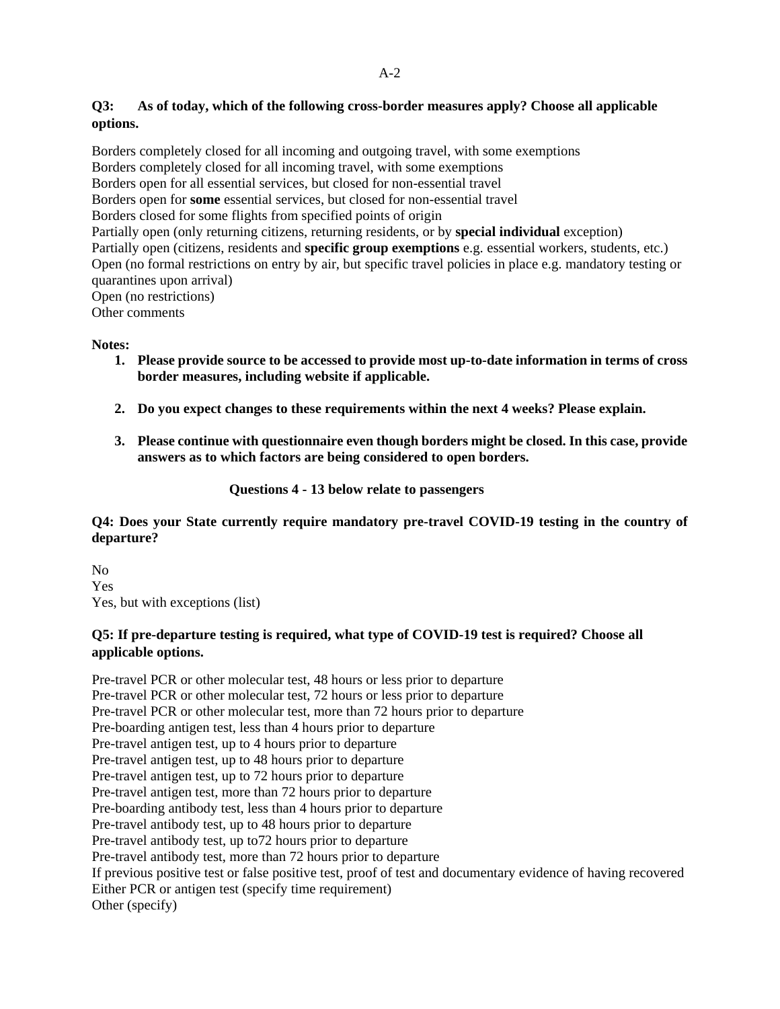# **Q3: As of today, which of the following cross-border measures apply? Choose all applicable options.**

Borders completely closed for all incoming and outgoing travel, with some exemptions Borders completely closed for all incoming travel, with some exemptions Borders open for all essential services, but closed for non-essential travel Borders open for **some** essential services, but closed for non-essential travel Borders closed for some flights from specified points of origin Partially open (only returning citizens, returning residents, or by **special individual** exception) Partially open (citizens, residents and **specific group exemptions** e.g. essential workers, students, etc.) Open (no formal restrictions on entry by air, but specific travel policies in place e.g. mandatory testing or quarantines upon arrival) Open (no restrictions) Other comments

#### **Notes:**

- **1. Please provide source to be accessed to provide most up-to-date information in terms of cross border measures, including website if applicable.**
- **2. Do you expect changes to these requirements within the next 4 weeks? Please explain.**
- **3. Please continue with questionnaire even though borders might be closed. In this case, provide answers as to which factors are being considered to open borders.**

### **Questions 4 - 13 below relate to passengers**

### **Q4: Does your State currently require mandatory pre-travel COVID-19 testing in the country of departure?**

No Yes Yes, but with exceptions (list)

### **Q5: If pre-departure testing is required, what type of COVID-19 test is required? Choose all applicable options.**

Pre-travel PCR or other molecular test, 48 hours or less prior to departure Pre-travel PCR or other molecular test, 72 hours or less prior to departure Pre-travel PCR or other molecular test, more than 72 hours prior to departure Pre-boarding antigen test, less than 4 hours prior to departure Pre-travel antigen test, up to 4 hours prior to departure Pre-travel antigen test, up to 48 hours prior to departure Pre-travel antigen test, up to 72 hours prior to departure Pre-travel antigen test, more than 72 hours prior to departure Pre-boarding antibody test, less than 4 hours prior to departure Pre-travel antibody test, up to 48 hours prior to departure Pre-travel antibody test, up to72 hours prior to departure Pre-travel antibody test, more than 72 hours prior to departure If previous positive test or false positive test, proof of test and documentary evidence of having recovered Either PCR or antigen test (specify time requirement) Other (specify)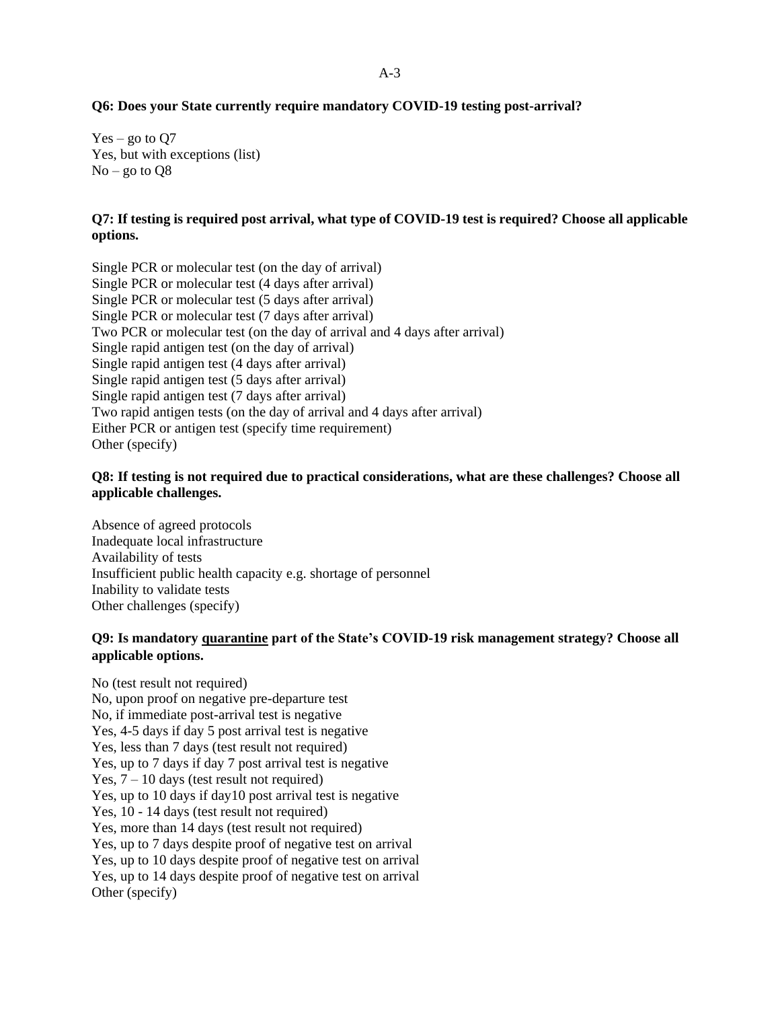### $A-3$

#### **Q6: Does your State currently require mandatory COVID-19 testing post-arrival?**

 $Yes - go to Q7$ Yes, but with exceptions (list)  $No - go to  $O8$$ 

#### **Q7: If testing is required post arrival, what type of COVID-19 test is required? Choose all applicable options.**

Single PCR or molecular test (on the day of arrival) Single PCR or molecular test (4 days after arrival) Single PCR or molecular test (5 days after arrival) Single PCR or molecular test (7 days after arrival) Two PCR or molecular test (on the day of arrival and 4 days after arrival) Single rapid antigen test (on the day of arrival) Single rapid antigen test (4 days after arrival) Single rapid antigen test (5 days after arrival) Single rapid antigen test (7 days after arrival) Two rapid antigen tests (on the day of arrival and 4 days after arrival) Either PCR or antigen test (specify time requirement) Other (specify)

#### **Q8: If testing is not required due to practical considerations, what are these challenges? Choose all applicable challenges.**

Absence of agreed protocols Inadequate local infrastructure Availability of tests Insufficient public health capacity e.g. shortage of personnel Inability to validate tests Other challenges (specify)

#### **Q9: Is mandatory quarantine part of the State's COVID-19 risk management strategy? Choose all applicable options.**

No (test result not required) No, upon proof on negative pre-departure test No, if immediate post-arrival test is negative Yes, 4-5 days if day 5 post arrival test is negative Yes, less than 7 days (test result not required) Yes, up to 7 days if day 7 post arrival test is negative Yes,  $7 - 10$  days (test result not required) Yes, up to 10 days if day10 post arrival test is negative Yes, 10 - 14 days (test result not required) Yes, more than 14 days (test result not required) Yes, up to 7 days despite proof of negative test on arrival Yes, up to 10 days despite proof of negative test on arrival Yes, up to 14 days despite proof of negative test on arrival Other (specify)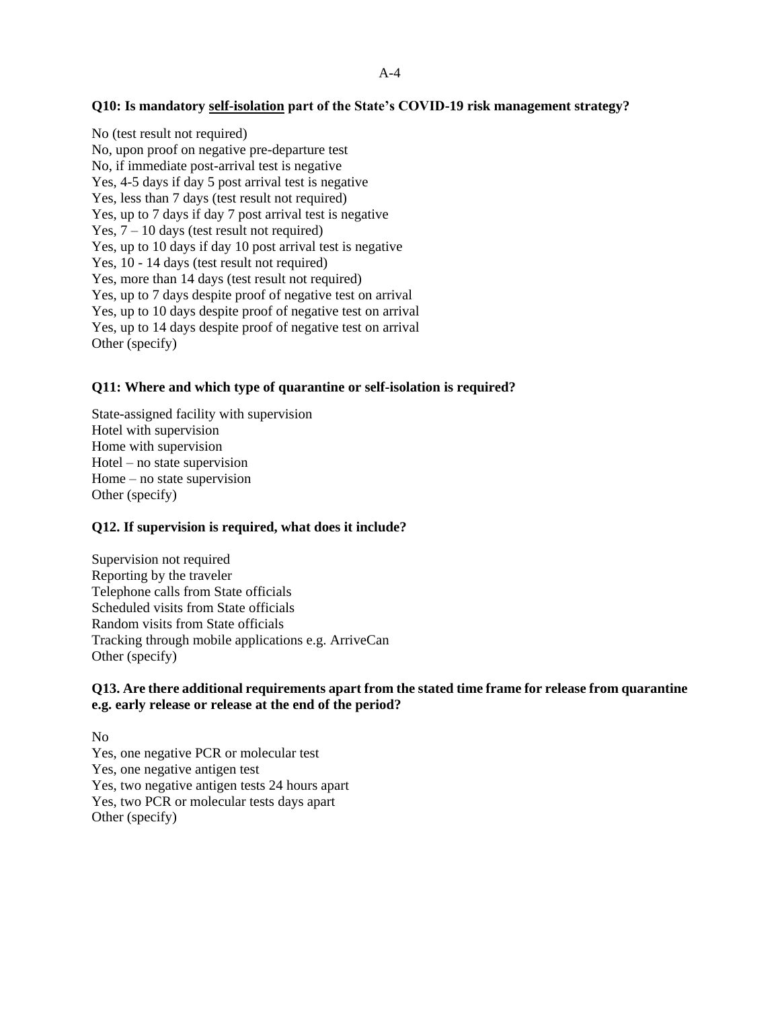#### A-4

#### **Q10: Is mandatory self-isolation part of the State's COVID-19 risk management strategy?**

No (test result not required) No, upon proof on negative pre-departure test No, if immediate post-arrival test is negative Yes, 4-5 days if day 5 post arrival test is negative Yes, less than 7 days (test result not required) Yes, up to 7 days if day 7 post arrival test is negative Yes,  $7 - 10$  days (test result not required) Yes, up to 10 days if day 10 post arrival test is negative Yes, 10 - 14 days (test result not required) Yes, more than 14 days (test result not required) Yes, up to 7 days despite proof of negative test on arrival Yes, up to 10 days despite proof of negative test on arrival Yes, up to 14 days despite proof of negative test on arrival Other (specify)

#### **Q11: Where and which type of quarantine or self-isolation is required?**

State-assigned facility with supervision Hotel with supervision Home with supervision Hotel – no state supervision Home – no state supervision Other (specify)

#### **Q12. If supervision is required, what does it include?**

Supervision not required Reporting by the traveler Telephone calls from State officials Scheduled visits from State officials Random visits from State officials Tracking through mobile applications e.g. ArriveCan Other (specify)

### **Q13. Are there additional requirements apart from the stated time frame for release from quarantine e.g. early release or release at the end of the period?**

No Yes, one negative PCR or molecular test Yes, one negative antigen test Yes, two negative antigen tests 24 hours apart Yes, two PCR or molecular tests days apart Other (specify)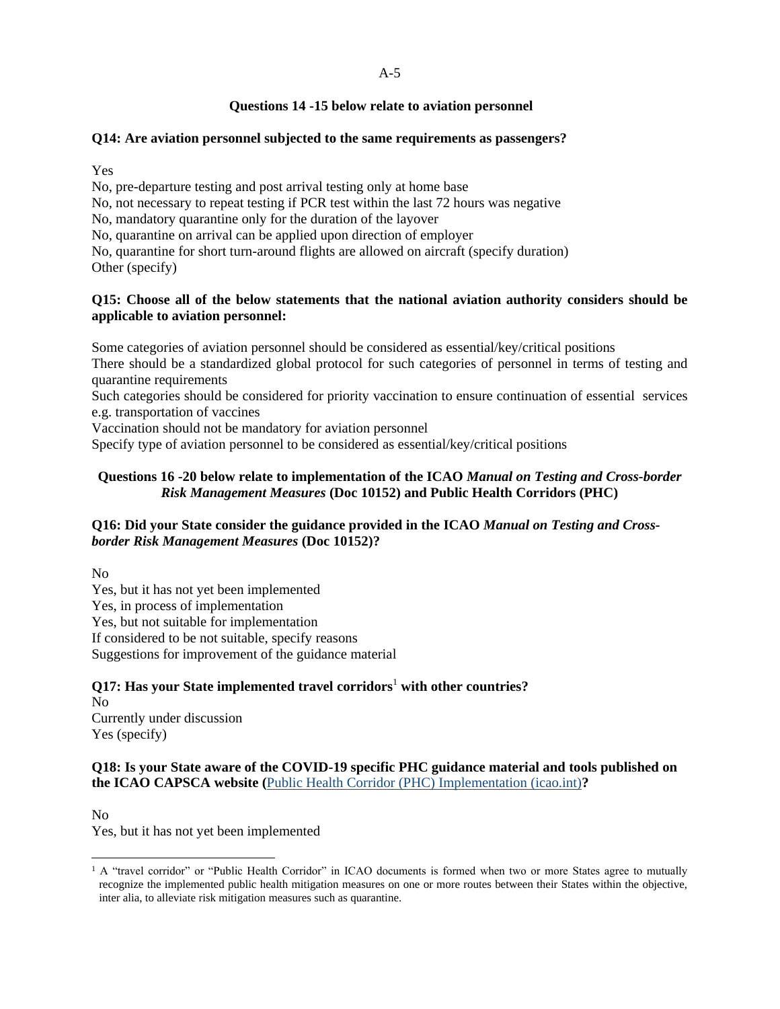### **Questions 14 -15 below relate to aviation personnel**

### **Q14: Are aviation personnel subjected to the same requirements as passengers?**

Yes

No, pre-departure testing and post arrival testing only at home base

No, not necessary to repeat testing if PCR test within the last 72 hours was negative

No, mandatory quarantine only for the duration of the layover

No, quarantine on arrival can be applied upon direction of employer

No, quarantine for short turn-around flights are allowed on aircraft (specify duration) Other (specify)

### **Q15: Choose all of the below statements that the national aviation authority considers should be applicable to aviation personnel:**

Some categories of aviation personnel should be considered as essential/key/critical positions

There should be a standardized global protocol for such categories of personnel in terms of testing and quarantine requirements

Such categories should be considered for priority vaccination to ensure continuation of essential services e.g. transportation of vaccines

Vaccination should not be mandatory for aviation personnel

Specify type of aviation personnel to be considered as essential/key/critical positions

# **Questions 16 -20 below relate to implementation of the ICAO** *Manual on Testing and Cross-border Risk Management Measures* **(Doc 10152) and Public Health Corridors (PHC)**

### **Q16: Did your State consider the guidance provided in the ICAO** *Manual on Testing and Crossborder Risk Management Measures* **(Doc 10152)?**

No

Yes, but it has not yet been implemented Yes, in process of implementation Yes, but not suitable for implementation If considered to be not suitable, specify reasons Suggestions for improvement of the guidance material

# **Q17: Has your State implemented travel corridors**<sup>1</sup> **with other countries?**

No Currently under discussion Yes (specify)

### **Q18: Is your State aware of the COVID-19 specific PHC guidance material and tools published on the ICAO CAPSCA website (**[Public Health Corridor \(PHC\) Implementation \(icao.int\)](https://www.icao.int/safety/CAPSCA/Pages/Public-Health-Corridor-(PHC)-Implementation-.aspx)**?**

No

l

Yes, but it has not yet been implemented

 $1$  A "travel corridor" or "Public Health Corridor" in ICAO documents is formed when two or more States agree to mutually recognize the implemented public health mitigation measures on one or more routes between their States within the objective, inter alia, to alleviate risk mitigation measures such as quarantine.